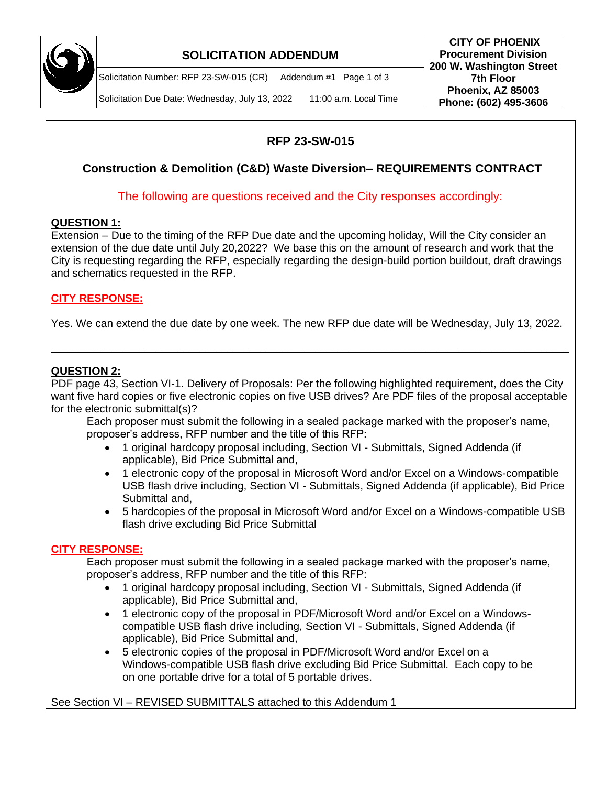

# **SOLICITATION ADDENDUM**

Solicitation Number: RFP 23-SW-015 (CR) Addendum #1 Page 1 of 3

Solicitation Due Date: Wednesday, July 13, 2022 11:00 a.m. Local Time

# **RFP 23-SW-015**

# **Construction & Demolition (C&D) Waste Diversion– REQUIREMENTS CONTRACT**

The following are questions received and the City responses accordingly:

## **QUESTION 1:**

Extension – Due to the timing of the RFP Due date and the upcoming holiday, Will the City consider an extension of the due date until July 20,2022? We base this on the amount of research and work that the City is requesting regarding the RFP, especially regarding the design-build portion buildout, draft drawings and schematics requested in the RFP.

## **CITY RESPONSE:**

Yes. We can extend the due date by one week. The new RFP due date will be Wednesday, July 13, 2022.

**\_\_\_\_\_\_\_\_\_\_\_\_\_\_\_\_\_\_\_\_\_\_\_\_\_\_\_\_\_\_\_\_\_\_\_\_\_\_\_\_\_\_\_\_\_\_\_\_\_\_\_\_\_\_\_\_\_\_\_\_\_\_\_\_\_\_\_\_\_\_\_\_\_\_\_\_\_\_\_\_\_\_\_\_\_\_\_\_\_\_\_\_\_\_**

## **QUESTION 2:**

PDF page 43, Section VI-1. Delivery of Proposals: Per the following highlighted requirement, does the City want five hard copies or five electronic copies on five USB drives? Are PDF files of the proposal acceptable for the electronic submittal(s)?

Each proposer must submit the following in a sealed package marked with the proposer's name, proposer's address, RFP number and the title of this RFP:

- 1 original hardcopy proposal including, Section VI Submittals, Signed Addenda (if applicable), Bid Price Submittal and,
- 1 electronic copy of the proposal in Microsoft Word and/or Excel on a Windows-compatible USB flash drive including, Section VI - Submittals, Signed Addenda (if applicable), Bid Price Submittal and,
- 5 hardcopies of the proposal in Microsoft Word and/or Excel on a Windows-compatible USB flash drive excluding Bid Price Submittal

#### **CITY RESPONSE:**

Each proposer must submit the following in a sealed package marked with the proposer's name, proposer's address, RFP number and the title of this RFP:

- 1 original hardcopy proposal including, Section VI Submittals, Signed Addenda (if applicable), Bid Price Submittal and,
- 1 electronic copy of the proposal in PDF/Microsoft Word and/or Excel on a Windowscompatible USB flash drive including, Section VI - Submittals, Signed Addenda (if applicable), Bid Price Submittal and,
- 5 electronic copies of the proposal in PDF/Microsoft Word and/or Excel on a Windows-compatible USB flash drive excluding Bid Price Submittal. Each copy to be on one portable drive for a total of 5 portable drives.

See Section VI – REVISED SUBMITTALS attached to this Addendum 1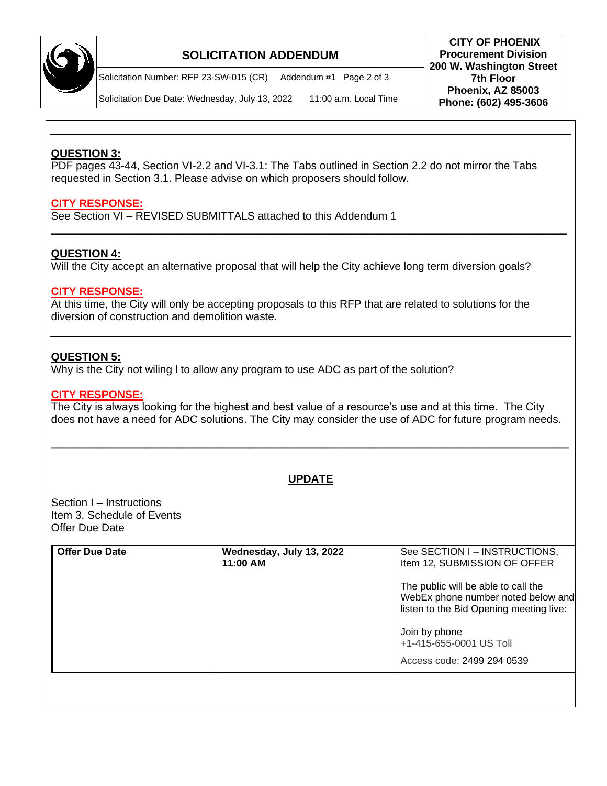

# **SOLICITATION ADDENDUM**

**Procurement Division 200 W. Washington Street 7th Floor Phoenix, AZ 85003 Phone: (602) 495-3606** Solicitation Number: RFP 23-SW-015 (CR) Addendum #1 Page 2 of 3

**CITY OF PHOENIX**

Solicitation Due Date: Wednesday, July 13, 2022 11:00 a.m. Local Time

## **QUESTION 3:**

PDF pages 43-44, Section VI-2.2 and VI-3.1: The Tabs outlined in Section 2.2 do not mirror the Tabs requested in Section 3.1. Please advise on which proposers should follow.

## **CITY RESPONSE:**

See Section VI – REVISED SUBMITTALS attached to this Addendum 1

## **QUESTION 4:**

Will the City accept an alternative proposal that will help the City achieve long term diversion goals?

**\_\_\_\_\_\_\_\_\_\_\_\_\_\_\_\_\_\_\_\_\_\_\_\_\_\_\_\_\_\_\_\_\_\_\_\_\_\_\_\_\_\_\_\_\_\_\_\_\_\_\_\_\_\_\_\_\_\_\_\_\_\_\_\_\_\_\_\_\_\_\_\_\_\_\_\_\_\_\_\_\_\_\_\_\_**

#### **CITY RESPONSE:**

At this time, the City will only be accepting proposals to this RFP that are related to solutions for the diversion of construction and demolition waste.

#### **QUESTION 5:**

Why is the City not wiling l to allow any program to use ADC as part of the solution?

#### **CITY RESPONSE:**

The City is always looking for the highest and best value of a resource's use and at this time. The City does not have a need for ADC solutions. The City may consider the use of ADC for future program needs.

## **UPDATE**

**\_\_\_\_\_\_\_\_\_\_\_\_\_\_\_\_\_\_\_\_\_\_\_\_\_\_\_\_\_\_\_\_\_\_\_\_\_\_\_\_\_\_\_\_\_\_\_\_\_\_\_\_\_\_\_\_\_\_\_\_\_\_\_\_\_\_\_\_\_\_\_\_\_\_\_\_\_\_\_\_\_\_\_\_\_\_\_\_\_\_\_\_\_\_**

Section I – Instructions Item 3. Schedule of Events Offer Due Date

| <b>Offer Due Date</b> | Wednesday, July 13, 2022<br>11:00 AM | See SECTION I - INSTRUCTIONS,<br>Item 12, SUBMISSION OF OFFER                                                        |
|-----------------------|--------------------------------------|----------------------------------------------------------------------------------------------------------------------|
|                       |                                      | The public will be able to call the<br>WebEx phone number noted below and<br>listen to the Bid Opening meeting live: |
|                       |                                      | Join by phone<br>+1-415-655-0001 US Toll                                                                             |
|                       |                                      | Access code: 2499 294 0539                                                                                           |
|                       |                                      |                                                                                                                      |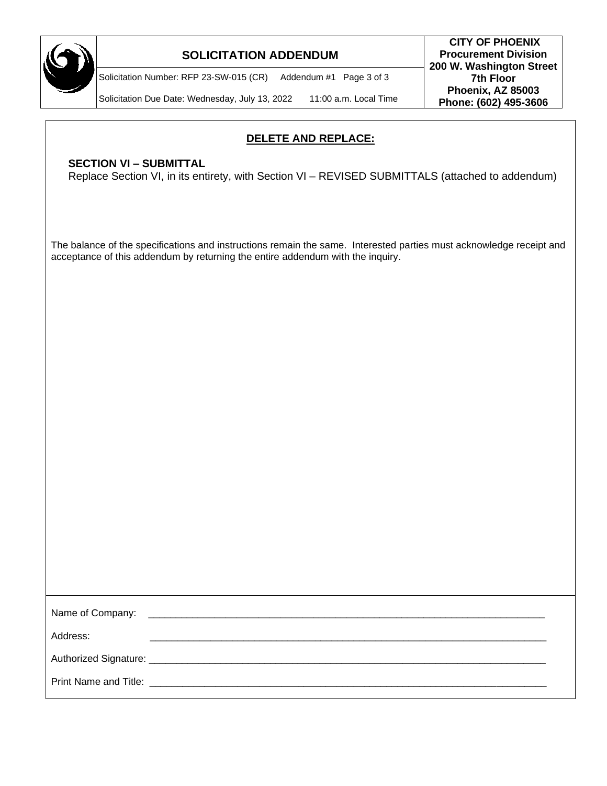

## **SOLICITATION ADDENDUM**

Solicitation Number: RFP 23-SW-015 (CR) Addendum #1 Page 3 of 3

Solicitation Due Date: Wednesday, July 13, 2022 11:00 a.m. Local Time

## **DELETE AND REPLACE:**

## **SECTION VI – SUBMITTAL**

Replace Section VI, in its entirety, with Section VI – REVISED SUBMITTALS (attached to addendum)

The balance of the specifications and instructions remain the same. Interested parties must acknowledge receipt and acceptance of this addendum by returning the entire addendum with the inquiry.

| Name of Company: |  |
|------------------|--|
| Address:         |  |
|                  |  |
|                  |  |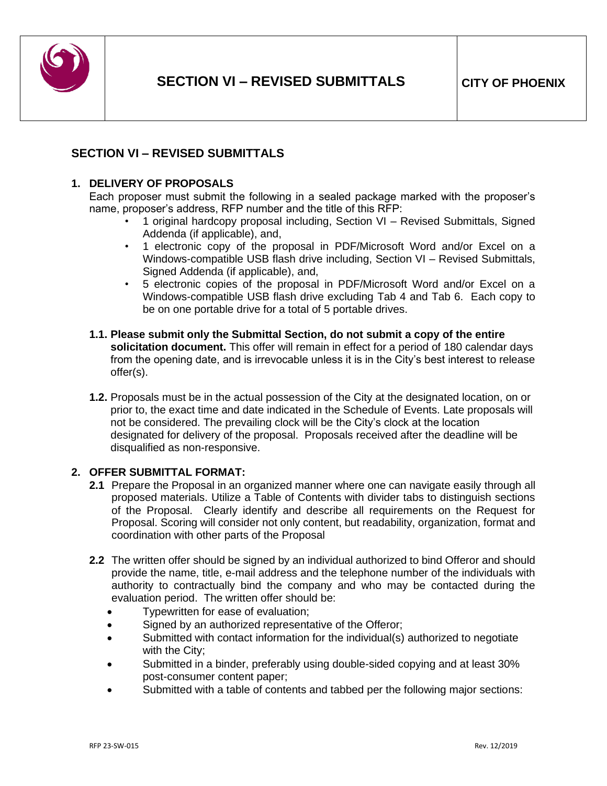

## **SECTION VI – REVISED SUBMITTALS**

#### **1. DELIVERY OF PROPOSALS**

Each proposer must submit the following in a sealed package marked with the proposer's name, proposer's address, RFP number and the title of this RFP:

- 1 original hardcopy proposal including, Section VI Revised Submittals, Signed Addenda (if applicable), and,
- 1 electronic copy of the proposal in PDF/Microsoft Word and/or Excel on a Windows-compatible USB flash drive including, Section VI – Revised Submittals, Signed Addenda (if applicable), and,
- 5 electronic copies of the proposal in PDF/Microsoft Word and/or Excel on a Windows-compatible USB flash drive excluding Tab 4 and Tab 6. Each copy to be on one portable drive for a total of 5 portable drives.
- **1.1. Please submit only the Submittal Section, do not submit a copy of the entire solicitation document.** This offer will remain in effect for a period of 180 calendar days from the opening date, and is irrevocable unless it is in the City's best interest to release offer(s).
- **1.2.** Proposals must be in the actual possession of the City at the designated location, on or prior to, the exact time and date indicated in the Schedule of Events. Late proposals will not be considered. The prevailing clock will be the City's clock at the location designated for delivery of the proposal. Proposals received after the deadline will be disqualified as non-responsive.

#### **2. OFFER SUBMITTAL FORMAT:**

- **2.1** Prepare the Proposal in an organized manner where one can navigate easily through all proposed materials. Utilize a Table of Contents with divider tabs to distinguish sections of the Proposal. Clearly identify and describe all requirements on the Request for Proposal. Scoring will consider not only content, but readability, organization, format and coordination with other parts of the Proposal
- **2.2** The written offer should be signed by an individual authorized to bind Offeror and should provide the name, title, e-mail address and the telephone number of the individuals with authority to contractually bind the company and who may be contacted during the evaluation period. The written offer should be:
	- Typewritten for ease of evaluation;
	- Signed by an authorized representative of the Offeror;
	- Submitted with contact information for the individual(s) authorized to negotiate with the City;
	- Submitted in a binder, preferably using double-sided copying and at least 30% post-consumer content paper;
	- Submitted with a table of contents and tabbed per the following major sections: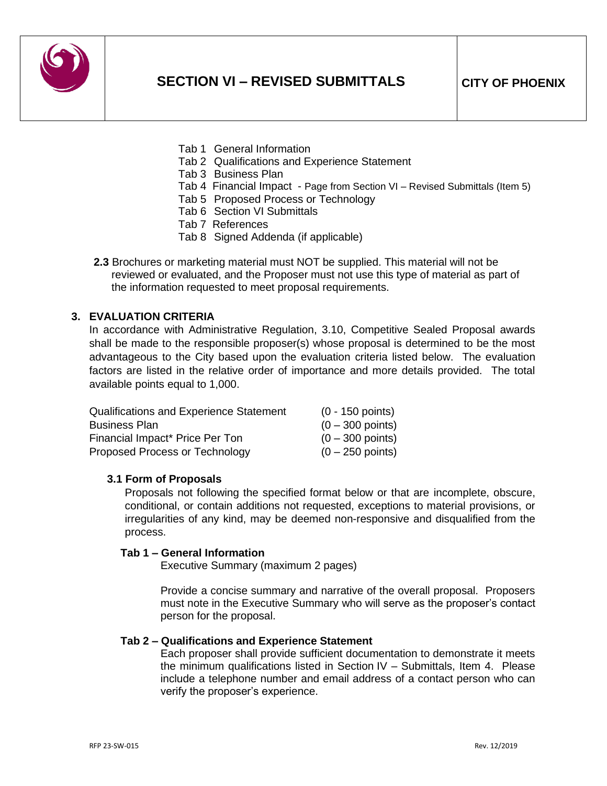

- Tab 1 General Information
- Tab 2 Qualifications and Experience Statement
- Tab 3 Business Plan
- Tab 4 Financial Impact Page from Section VI Revised Submittals (Item 5)
- Tab 5 Proposed Process or Technology
- Tab 6 Section VI Submittals
- Tab 7 References
- Tab 8 Signed Addenda (if applicable)
- **2.3** Brochures or marketing material must NOT be supplied. This material will not be reviewed or evaluated, and the Proposer must not use this type of material as part of the information requested to meet proposal requirements.

#### **3. EVALUATION CRITERIA**

In accordance with Administrative Regulation, 3.10, Competitive Sealed Proposal awards shall be made to the responsible proposer(s) whose proposal is determined to be the most advantageous to the City based upon the evaluation criteria listed below. The evaluation factors are listed in the relative order of importance and more details provided. The total available points equal to 1,000.

| <b>Qualifications and Experience Statement</b> | $(0 - 150$ points) |
|------------------------------------------------|--------------------|
| <b>Business Plan</b>                           | $(0 - 300$ points) |
| Financial Impact* Price Per Ton                | $(0 - 300$ points) |
| Proposed Process or Technology                 | $(0 - 250$ points) |

#### **3.1 Form of Proposals**

Proposals not following the specified format below or that are incomplete, obscure, conditional, or contain additions not requested, exceptions to material provisions, or irregularities of any kind, may be deemed non-responsive and disqualified from the process.

#### **Tab 1 – General Information**

Executive Summary (maximum 2 pages)

Provide a concise summary and narrative of the overall proposal. Proposers must note in the Executive Summary who will serve as the proposer's contact person for the proposal.

#### **Tab 2 – Qualifications and Experience Statement**

Each proposer shall provide sufficient documentation to demonstrate it meets the minimum qualifications listed in Section IV – Submittals, Item 4. Please include a telephone number and email address of a contact person who can verify the proposer's experience.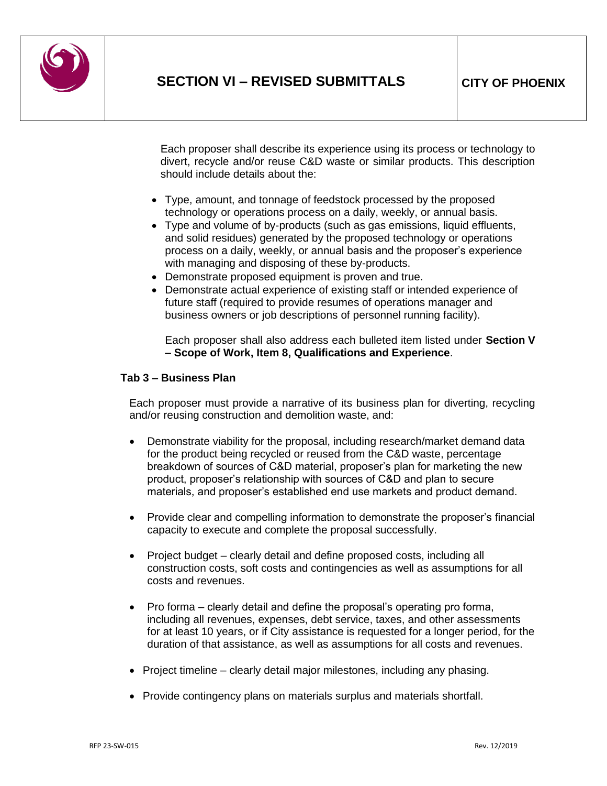

Each proposer shall describe its experience using its process or technology to divert, recycle and/or reuse C&D waste or similar products. This description should include details about the:

- Type, amount, and tonnage of feedstock processed by the proposed technology or operations process on a daily, weekly, or annual basis.
- Type and volume of by-products (such as gas emissions, liquid effluents, and solid residues) generated by the proposed technology or operations process on a daily, weekly, or annual basis and the proposer's experience with managing and disposing of these by-products.
- Demonstrate proposed equipment is proven and true.
- Demonstrate actual experience of existing staff or intended experience of future staff (required to provide resumes of operations manager and business owners or job descriptions of personnel running facility).

Each proposer shall also address each bulleted item listed under **Section V – Scope of Work, Item 8, Qualifications and Experience**.

#### **Tab 3 – Business Plan**

Each proposer must provide a narrative of its business plan for diverting, recycling and/or reusing construction and demolition waste, and:

- Demonstrate viability for the proposal, including research/market demand data for the product being recycled or reused from the C&D waste, percentage breakdown of sources of C&D material, proposer's plan for marketing the new product, proposer's relationship with sources of C&D and plan to secure materials, and proposer's established end use markets and product demand.
- Provide clear and compelling information to demonstrate the proposer's financial capacity to execute and complete the proposal successfully.
- Project budget clearly detail and define proposed costs, including all construction costs, soft costs and contingencies as well as assumptions for all costs and revenues.
- Pro forma clearly detail and define the proposal's operating pro forma, including all revenues, expenses, debt service, taxes, and other assessments for at least 10 years, or if City assistance is requested for a longer period, for the duration of that assistance, as well as assumptions for all costs and revenues.
- Project timeline clearly detail major milestones, including any phasing.
- Provide contingency plans on materials surplus and materials shortfall.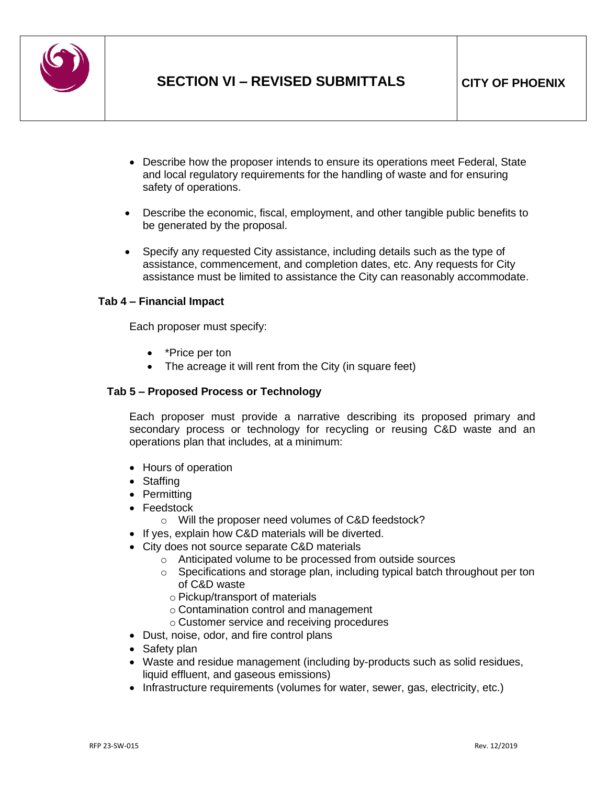

- Describe how the proposer intends to ensure its operations meet Federal, State and local regulatory requirements for the handling of waste and for ensuring safety of operations.
- Describe the economic, fiscal, employment, and other tangible public benefits to be generated by the proposal.
- Specify any requested City assistance, including details such as the type of assistance, commencement, and completion dates, etc. Any requests for City assistance must be limited to assistance the City can reasonably accommodate.

#### **Tab 4 – Financial Impact**

Each proposer must specify:

- \*Price per ton
- The acreage it will rent from the City (in square feet)

#### **Tab 5 – Proposed Process or Technology**

Each proposer must provide a narrative describing its proposed primary and secondary process or technology for recycling or reusing C&D waste and an operations plan that includes, at a minimum:

- Hours of operation
- Staffing
- Permitting
- Feedstock
	- o Will the proposer need volumes of C&D feedstock?
- If yes, explain how C&D materials will be diverted.
- City does not source separate C&D materials
	- o Anticipated volume to be processed from outside sources
	- $\circ$  Specifications and storage plan, including typical batch throughout per ton of C&D waste
		- o Pickup/transport of materials
		- o Contamination control and management
		- o Customer service and receiving procedures
- Dust, noise, odor, and fire control plans
- Safety plan
- Waste and residue management (including by-products such as solid residues, liquid effluent, and gaseous emissions)
- Infrastructure requirements (volumes for water, sewer, gas, electricity, etc.)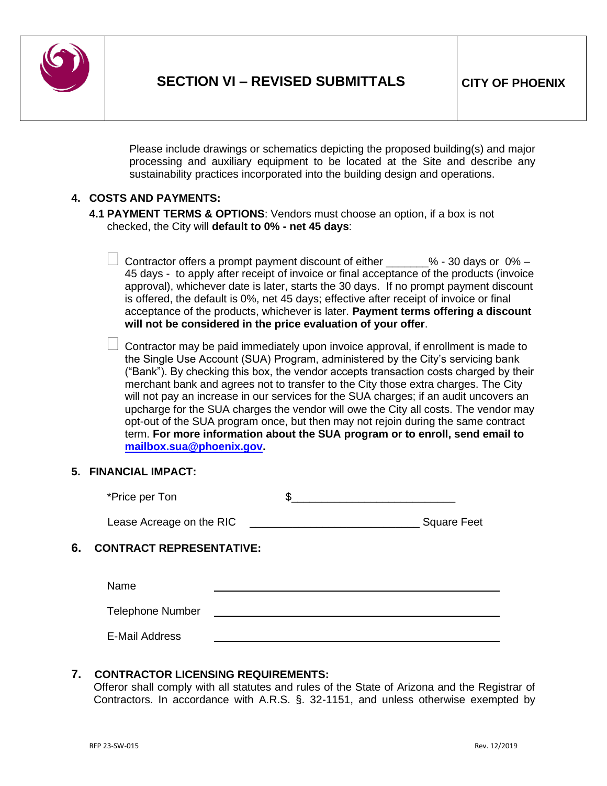

Please include drawings or schematics depicting the proposed building(s) and major processing and auxiliary equipment to be located at the Site and describe any sustainability practices incorporated into the building design and operations.

#### **4. COSTS AND PAYMENTS:**

- **4.1 PAYMENT TERMS & OPTIONS**: Vendors must choose an option, if a box is not checked, the City will **default to 0% - net 45 days**:
	- Contractor offers a prompt payment discount of either  $\frac{1}{2}$   $\frac{8}{2}$  30 days or 0% 45 days - to apply after receipt of invoice or final acceptance of the products (invoice approval), whichever date is later, starts the 30 days. If no prompt payment discount is offered, the default is 0%, net 45 days; effective after receipt of invoice or final acceptance of the products, whichever is later. **Payment terms offering a discount will not be considered in the price evaluation of your offer**.
	- $\Box$  Contractor may be paid immediately upon invoice approval, if enrollment is made to the Single Use Account (SUA) Program, administered by the City's servicing bank ("Bank"). By checking this box, the vendor accepts transaction costs charged by their merchant bank and agrees not to transfer to the City those extra charges. The City will not pay an increase in our services for the SUA charges; if an audit uncovers an upcharge for the SUA charges the vendor will owe the City all costs. The vendor may opt-out of the SUA program once, but then may not rejoin during the same contract term. **For more information about the SUA program or to enroll, send email to [mailbox.sua@phoenix.gov.](mailto:mailbox.sua@phoenix.gov)**

#### **5. FINANCIAL IMPACT:**

| *Price per Ton |  |
|----------------|--|
|----------------|--|

| Lease Acreage on the RIC | <b>Square Feet</b> |
|--------------------------|--------------------|
|                          |                    |

## **6. CONTRACT REPRESENTATIVE:**

Name

Telephone Number

E-Mail Address

#### **7. CONTRACTOR LICENSING REQUIREMENTS:**

Offeror shall comply with all statutes and rules of the State of Arizona and the Registrar of Contractors. In accordance with A.R.S. §. 32-1151, and unless otherwise exempted by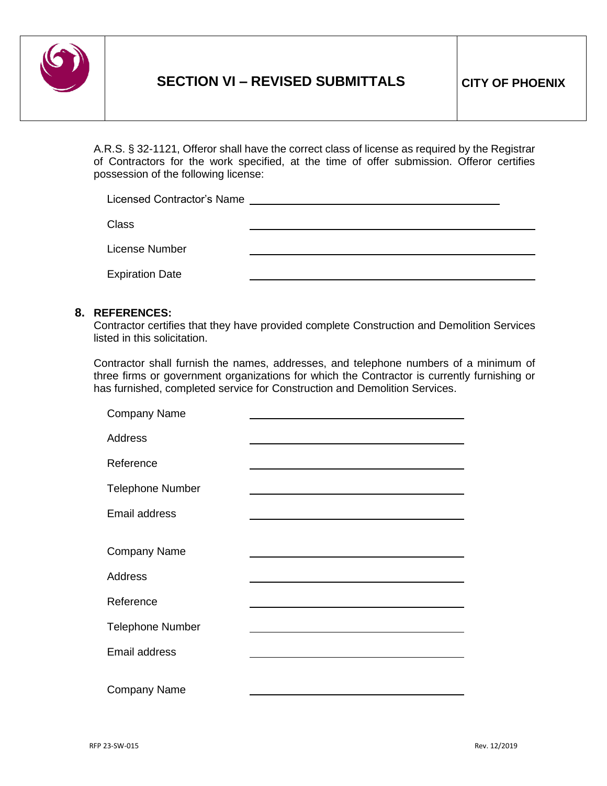

A.R.S. § 32-1121, Offeror shall have the correct class of license as required by the Registrar of Contractors for the work specified, at the time of offer submission. Offeror certifies possession of the following license:

| Licensed Contractor's Name |  |
|----------------------------|--|
| <b>Class</b>               |  |
| License Number             |  |
| <b>Expiration Date</b>     |  |

#### **8. REFERENCES:**

Contractor certifies that they have provided complete Construction and Demolition Services listed in this solicitation.

Contractor shall furnish the names, addresses, and telephone numbers of a minimum of three firms or government organizations for which the Contractor is currently furnishing or has furnished, completed service for Construction and Demolition Services.

| <b>Company Name</b>     |  |
|-------------------------|--|
| <b>Address</b>          |  |
| Reference               |  |
| <b>Telephone Number</b> |  |
| Email address           |  |
| <b>Company Name</b>     |  |
| <b>Address</b>          |  |
| Reference               |  |
| <b>Telephone Number</b> |  |
| Email address           |  |
| <b>Company Name</b>     |  |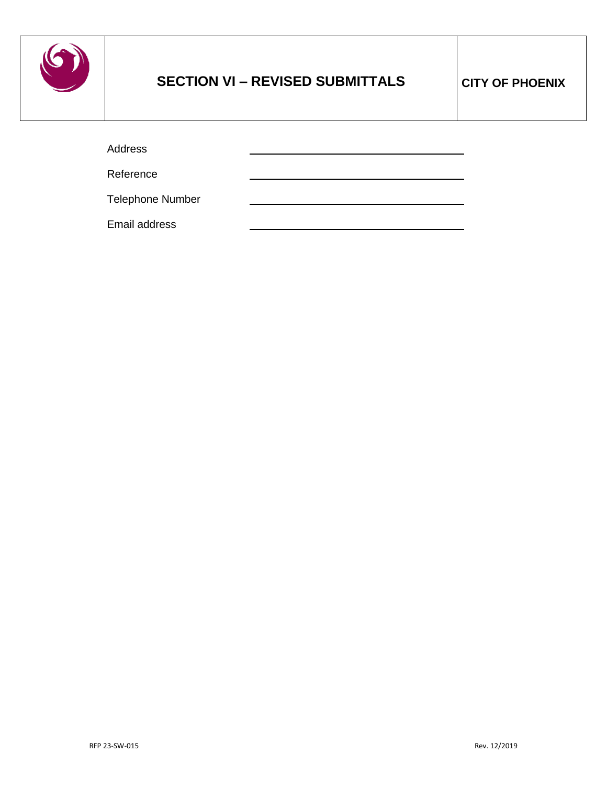

# **SECTION VI – REVISED SUBMITTALS CITY OF PHOENIX**

Address

Reference

Telephone Number

Email address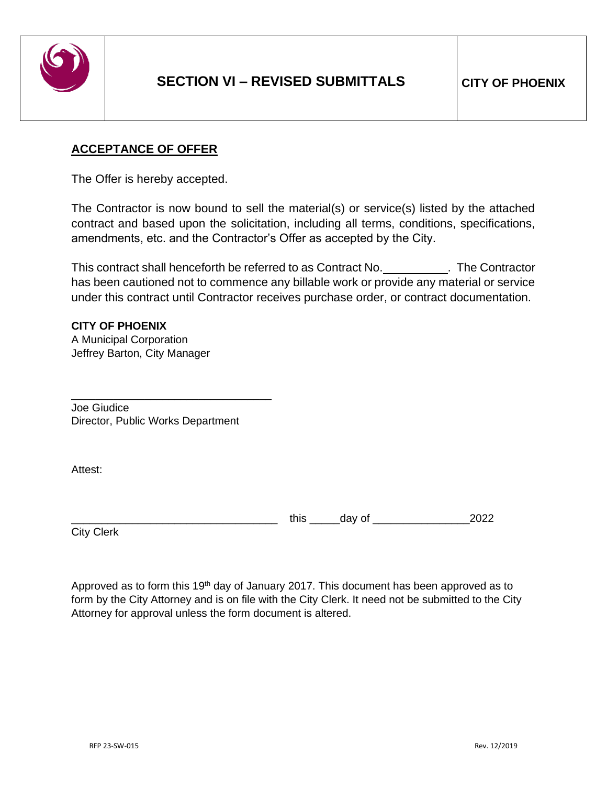

# **ACCEPTANCE OF OFFER**

The Offer is hereby accepted.

The Contractor is now bound to sell the material(s) or service(s) listed by the attached contract and based upon the solicitation, including all terms, conditions, specifications, amendments, etc. and the Contractor's Offer as accepted by the City.

This contract shall henceforth be referred to as Contract No. . The Contractor has been cautioned not to commence any billable work or provide any material or service under this contract until Contractor receives purchase order, or contract documentation.

## **CITY OF PHOENIX**

A Municipal Corporation Jeffrey Barton, City Manager

Joe Giudice Director, Public Works Department

\_\_\_\_\_\_\_\_\_\_\_\_\_\_\_\_\_\_\_\_\_\_\_\_\_\_\_\_\_\_\_\_\_

Attest:

 $\frac{1}{2022}$  this  $\frac{1}{2022}$ 

City Clerk

Approved as to form this 19<sup>th</sup> day of January 2017. This document has been approved as to form by the City Attorney and is on file with the City Clerk. It need not be submitted to the City Attorney for approval unless the form document is altered.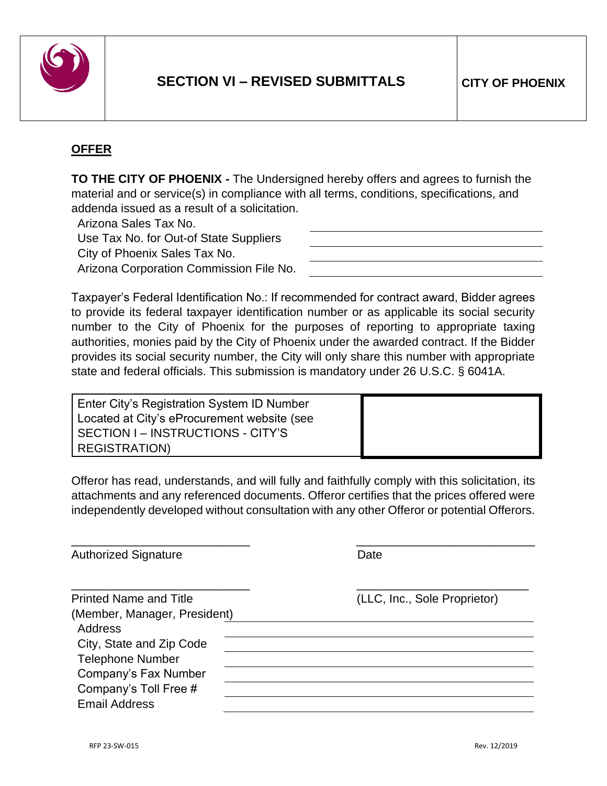

# **OFFER**

**TO THE CITY OF PHOENIX -** The Undersigned hereby offers and agrees to furnish the material and or service(s) in compliance with all terms, conditions, specifications, and addenda issued as a result of a solicitation.

Arizona Sales Tax No. Use Tax No. for Out-of State Suppliers City of Phoenix Sales Tax No.

Arizona Corporation Commission File No.

Taxpayer's Federal Identification No.: If recommended for contract award, Bidder agrees to provide its federal taxpayer identification number or as applicable its social security number to the City of Phoenix for the purposes of reporting to appropriate taxing authorities, monies paid by the City of Phoenix under the awarded contract. If the Bidder provides its social security number, the City will only share this number with appropriate state and federal officials. This submission is mandatory under 26 U.S.C. § 6041A.

Enter City's Registration System ID Number Located at City's eProcurement website (see SECTION I – INSTRUCTIONS - CITY'S REGISTRATION)

Offeror has read, understands, and will fully and faithfully comply with this solicitation, its attachments and any referenced documents. Offeror certifies that the prices offered were independently developed without consultation with any other Offeror or potential Offerors.

| <b>Authorized Signature</b>   | Date                         |  |  |
|-------------------------------|------------------------------|--|--|
| <b>Printed Name and Title</b> | (LLC, Inc., Sole Proprietor) |  |  |
| (Member, Manager, President)  |                              |  |  |
| Address                       |                              |  |  |
| City, State and Zip Code      |                              |  |  |
| <b>Telephone Number</b>       |                              |  |  |
| Company's Fax Number          |                              |  |  |
| Company's Toll Free #         |                              |  |  |
| <b>Email Address</b>          |                              |  |  |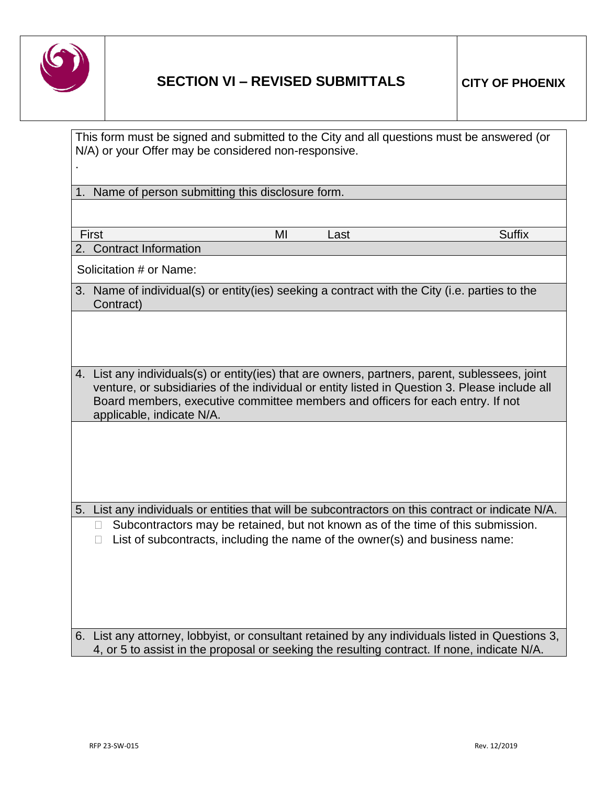

|    | This form must be signed and submitted to the City and all questions must be answered (or<br>N/A) or your Offer may be considered non-responsive.                                                                                                                                                              |    |      |               |
|----|----------------------------------------------------------------------------------------------------------------------------------------------------------------------------------------------------------------------------------------------------------------------------------------------------------------|----|------|---------------|
|    | 1. Name of person submitting this disclosure form.                                                                                                                                                                                                                                                             |    |      |               |
|    |                                                                                                                                                                                                                                                                                                                |    |      |               |
|    | First                                                                                                                                                                                                                                                                                                          | ΜI | Last | <b>Suffix</b> |
| 2. | <b>Contract Information</b>                                                                                                                                                                                                                                                                                    |    |      |               |
|    | Solicitation # or Name:                                                                                                                                                                                                                                                                                        |    |      |               |
|    | 3. Name of individual(s) or entity(ies) seeking a contract with the City (i.e. parties to the<br>Contract)                                                                                                                                                                                                     |    |      |               |
|    |                                                                                                                                                                                                                                                                                                                |    |      |               |
|    | 4. List any individuals(s) or entity(ies) that are owners, partners, parent, sublessees, joint<br>venture, or subsidiaries of the individual or entity listed in Question 3. Please include all<br>Board members, executive committee members and officers for each entry. If not<br>applicable, indicate N/A. |    |      |               |
|    |                                                                                                                                                                                                                                                                                                                |    |      |               |
|    | 5. List any individuals or entities that will be subcontractors on this contract or indicate N/A.                                                                                                                                                                                                              |    |      |               |
|    | Subcontractors may be retained, but not known as of the time of this submission.<br>П<br>List of subcontracts, including the name of the owner(s) and business name:<br>$\Box$                                                                                                                                 |    |      |               |
|    |                                                                                                                                                                                                                                                                                                                |    |      |               |
|    | 6. List any attorney, lobbyist, or consultant retained by any individuals listed in Questions 3,<br>4, or 5 to assist in the proposal or seeking the resulting contract. If none, indicate N/A.                                                                                                                |    |      |               |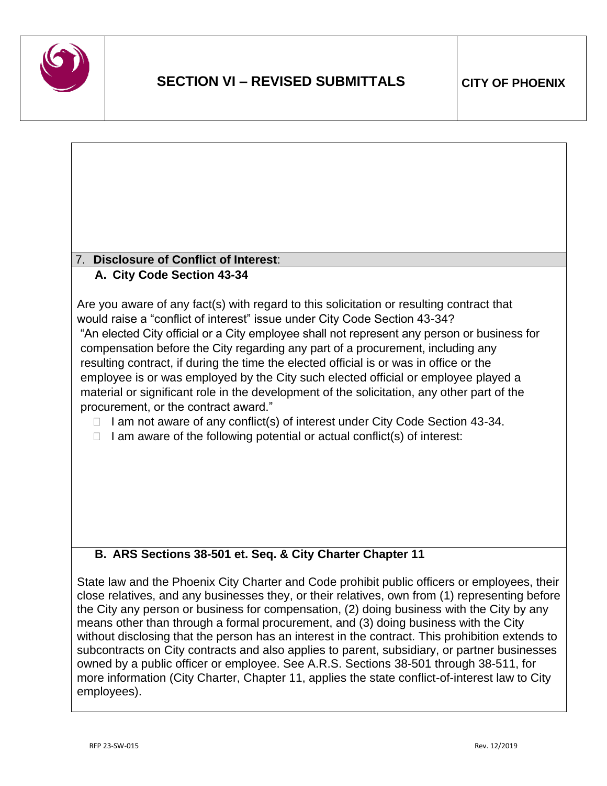

## 7. **Disclosure of Conflict of Interest**: **A. City Code Section 43-34**

Are you aware of any fact(s) with regard to this solicitation or resulting contract that would raise a "conflict of interest" issue under City Code Section 43-34? "An elected City official or a City employee shall not represent any person or business for compensation before the City regarding any part of a procurement, including any resulting contract, if during the time the elected official is or was in office or the employee is or was employed by the City such elected official or employee played a

material or significant role in the development of the solicitation, any other part of the procurement, or the contract award."

- $\Box$  I am not aware of any conflict(s) of interest under City Code Section 43-34.
- $\Box$  I am aware of the following potential or actual conflict(s) of interest:

# **B. ARS Sections 38-501 et. Seq. & City Charter Chapter 11**

State law and the Phoenix City Charter and Code prohibit public officers or employees, their close relatives, and any businesses they, or their relatives, own from (1) representing before the City any person or business for compensation, (2) doing business with the City by any means other than through a formal procurement, and (3) doing business with the City without disclosing that the person has an interest in the contract. This prohibition extends to subcontracts on City contracts and also applies to parent, subsidiary, or partner businesses owned by a public officer or employee. See A.R.S. Sections 38-501 through 38-511, for more information (City Charter, Chapter 11, applies the state conflict-of-interest law to City employees).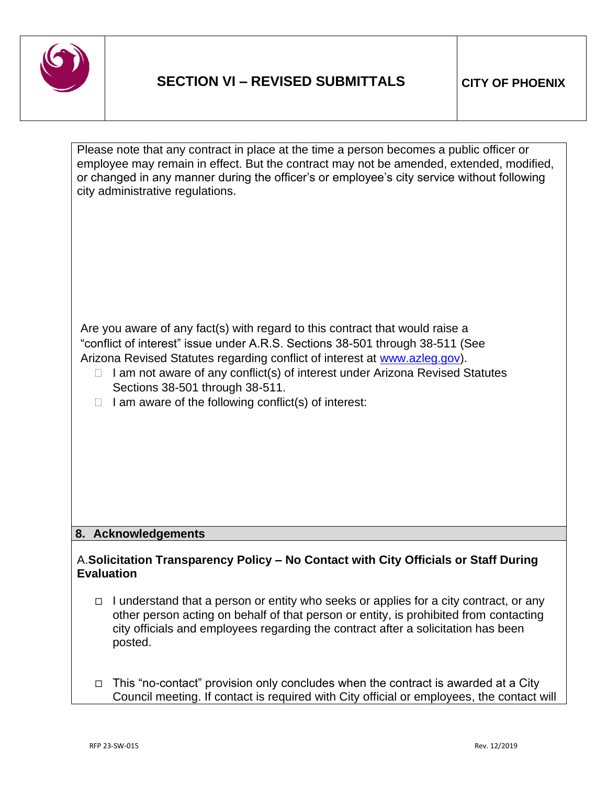

| Please note that any contract in place at the time a person becomes a public officer or<br>employee may remain in effect. But the contract may not be amended, extended, modified,<br>or changed in any manner during the officer's or employee's city service without following<br>city administrative regulations.                                                                                                                       |
|--------------------------------------------------------------------------------------------------------------------------------------------------------------------------------------------------------------------------------------------------------------------------------------------------------------------------------------------------------------------------------------------------------------------------------------------|
|                                                                                                                                                                                                                                                                                                                                                                                                                                            |
| Are you aware of any fact(s) with regard to this contract that would raise a<br>"conflict of interest" issue under A.R.S. Sections 38-501 through 38-511 (See<br>Arizona Revised Statutes regarding conflict of interest at www.azleg.gov).<br>I am not aware of any conflict(s) of interest under Arizona Revised Statutes<br>$\Box$<br>Sections 38-501 through 38-511.<br>I am aware of the following conflict(s) of interest:<br>$\Box$ |
| 8. Acknowledgements                                                                                                                                                                                                                                                                                                                                                                                                                        |
| A. Solicitation Transparency Policy - No Contact with City Officials or Staff During<br><b>Evaluation</b>                                                                                                                                                                                                                                                                                                                                  |
| I understand that a person or entity who seeks or applies for a city contract, or any<br>$\Box$<br>other person acting on behalf of that person or entity, is prohibited from contacting<br>city officials and employees regarding the contract after a solicitation has been                                                                                                                                                              |

□ This "no-contact" provision only concludes when the contract is awarded at a City Council meeting. If contact is required with City official or employees, the contact will

posted.